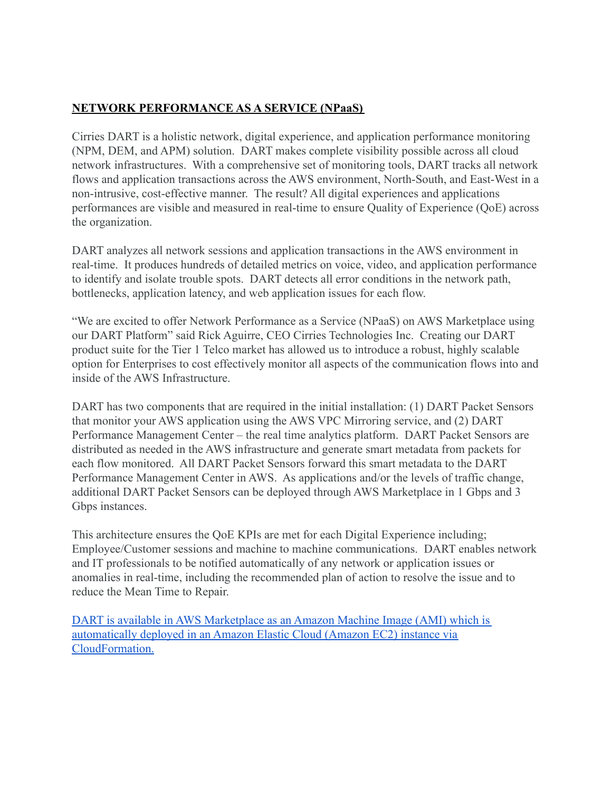## **NETWORK PERFORMANCE AS A SERVICE (NPaaS)**

Cirries DART is a holistic network, digital experience, and application performance monitoring (NPM, DEM, and APM) solution. DART makes complete visibility possible across all cloud network infrastructures. With a comprehensive set of monitoring tools, DART tracks all network flows and application transactions across the AWS environment, North-South, and East-West in a non-intrusive, cost-effective manner. The result? All digital experiences and applications performances are visible and measured in real-time to ensure Quality of Experience (QoE) across the organization.

DART analyzes all network sessions and application transactions in the AWS environment in real-time. It produces hundreds of detailed metrics on voice, video, and application performance to identify and isolate trouble spots. DART detects all error conditions in the network path, bottlenecks, application latency, and web application issues for each flow.

"We are excited to offer Network Performance as a Service (NPaaS) on AWS Marketplace using our DART Platform" said Rick Aguirre, CEO Cirries Technologies Inc. Creating our DART product suite for the Tier 1 Telco market has allowed us to introduce a robust, highly scalable option for Enterprises to cost effectively monitor all aspects of the communication flows into and inside of the AWS Infrastructure.

DART has two components that are required in the initial installation: (1) DART Packet Sensors that monitor your AWS application using the AWS VPC Mirroring service, and (2) DART Performance Management Center – the real time analytics platform. DART Packet Sensors are distributed as needed in the AWS infrastructure and generate smart metadata from packets for each flow monitored. All DART Packet Sensors forward this smart metadata to the DART Performance Management Center in AWS. As applications and/or the levels of traffic change, additional DART Packet Sensors can be deployed through AWS Marketplace in 1 Gbps and 3 Gbps instances.

This architecture ensures the QoE KPIs are met for each Digital Experience including; Employee/Customer sessions and machine to machine communications. DART enables network and IT professionals to be notified automatically of any network or application issues or anomalies in real-time, including the recommended plan of action to resolve the issue and to reduce the Mean Time to Repair.

[DART is available in AWS Marketplace as an Amazon Machine Image \(AMI\) which is](https://aws.amazon.com/marketplace/pp/prodview-ku4rldy7cymsu?sr=0-1&ref_=beagle&applicationId=AWSMPContessa) [automatically deployed in an Amazon Elastic Cloud \(Amazon EC2\) instance via](https://aws.amazon.com/marketplace/pp/prodview-ku4rldy7cymsu?sr=0-1&ref_=beagle&applicationId=AWSMPContessa) [CloudFormation.](https://aws.amazon.com/marketplace/pp/prodview-ku4rldy7cymsu?sr=0-1&ref_=beagle&applicationId=AWSMPContessa)